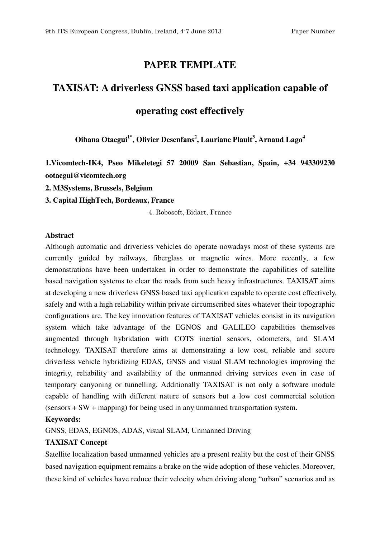# **PAPER TEMPLATE**

# **TAXISAT: A driverless GNSS based taxi application capable of**

# **operating cost effectively**

**Oihana Otaegui1\*, Olivier Desenfans<sup>2</sup> , Lauriane Plault<sup>3</sup> , Arnaud Lago<sup>4</sup>**

**1.Vicomtech-IK4, Pseo Mikeletegi 57 20009 San Sebastian, Spain, +34 943309230 ootaegui@vicomtech.org** 

**2. M3Systems, Brussels, Belgium** 

**3. Capital HighTech, Bordeaux, France** 

4. Robosoft, Bidart, France

#### **Abstract**

Although automatic and driverless vehicles do operate nowadays most of these systems are currently guided by railways, fiberglass or magnetic wires. More recently, a few demonstrations have been undertaken in order to demonstrate the capabilities of satellite based navigation systems to clear the roads from such heavy infrastructures. TAXISAT aims at developing a new driverless GNSS based taxi application capable to operate cost effectively, safely and with a high reliability within private circumscribed sites whatever their topographic configurations are. The key innovation features of TAXISAT vehicles consist in its navigation system which take advantage of the EGNOS and GALILEO capabilities themselves augmented through hybridation with COTS inertial sensors, odometers, and SLAM technology. TAXISAT therefore aims at demonstrating a low cost, reliable and secure driverless vehicle hybridizing EDAS, GNSS and visual SLAM technologies improving the integrity, reliability and availability of the unmanned driving services even in case of temporary canyoning or tunnelling. Additionally TAXISAT is not only a software module capable of handling with different nature of sensors but a low cost commercial solution (sensors + SW + mapping) for being used in any unmanned transportation system.

#### **Keywords:**

GNSS, EDAS, EGNOS, ADAS, visual SLAM, Unmanned Driving

#### **TAXISAT Concept**

Satellite localization based unmanned vehicles are a present reality but the cost of their GNSS based navigation equipment remains a brake on the wide adoption of these vehicles. Moreover, these kind of vehicles have reduce their velocity when driving along "urban" scenarios and as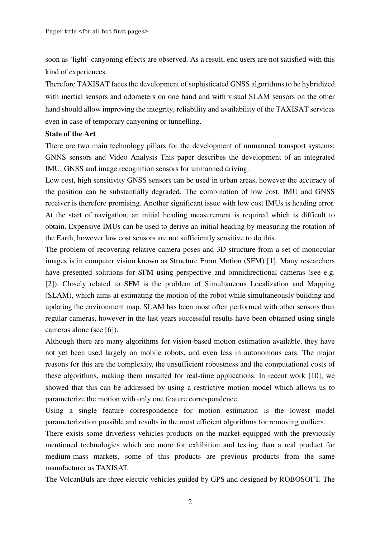soon as 'light' canyoning effects are observed. As a result, end users are not satisfied with this kind of experiences.

Therefore TAXISAT faces the development of sophisticated GNSS algorithms to be hybridized with inertial sensors and odometers on one hand and with visual SLAM sensors on the other hand should allow improving the integrity, reliability and availability of the TAXISAT services even in case of temporary canyoning or tunnelling.

#### **State of the Art**

There are two main technology pillars for the development of unmanned transport systems: GNNS sensors and Video Analysis This paper describes the development of an integrated IMU, GNSS and image recognition sensors for unmanned driving.

Low cost, high sensitivity GNSS sensors can be used in urban areas, however the accuracy of the position can be substantially degraded. The combination of low cost, IMU and GNSS receiver is therefore promising. Another significant issue with low cost IMUs is heading error. At the start of navigation, an initial heading measurement is required which is difficult to obtain. Expensive IMUs can be used to derive an initial heading by measuring the rotation of the Earth, however low cost sensors are not sufficiently sensitive to do this.

The problem of recovering relative camera poses and 3D structure from a set of monocular images is in computer vision known as Structure From Motion (SFM) [1]. Many researchers have presented solutions for SFM using perspective and omnidirectional cameras (see e.g. [2]). Closely related to SFM is the problem of Simultaneous Localization and Mapping (SLAM), which aims at estimating the motion of the robot while simultaneously building and updating the environment map. SLAM has been most often performed with other sensors than regular cameras, however in the last years successful results have been obtained using single cameras alone (see [6]).

Although there are many algorithms for vision-based motion estimation available, they have not yet been used largely on mobile robots, and even less in autonomous cars. The major reasons for this are the complexity, the unsufficient robustness and the computational costs of these algorithms, making them unsuited for real-time applications. In recent work [10], we showed that this can be addressed by using a restrictive motion model which allows us to parameterize the motion with only one feature correspondence.

Using a single feature correspondence for motion estimation is the lowest model parameterization possible and results in the most efficient algorithms for removing outliers.

There exists some driverless vehicles products on the market equipped with the previously mentioned technologies which are more for exhibition and testing than a real product for medium-mass markets, some of this products are previous products from the same manufacturer as TAXISAT.

The VolcanBuls are three electric vehicles guided by GPS and designed by ROBOSOFT. The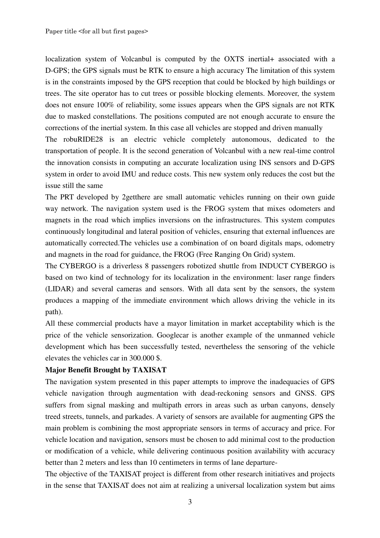localization system of Volcanbul is computed by the OXTS inertial+ associated with a D-GPS; the GPS signals must be RTK to ensure a high accuracy The limitation of this system is in the constraints imposed by the GPS reception that could be blocked by high buildings or trees. The site operator has to cut trees or possible blocking elements. Moreover, the system does not ensure 100% of reliability, some issues appears when the GPS signals are not RTK due to masked constellations. The positions computed are not enough accurate to ensure the corrections of the inertial system. In this case all vehicles are stopped and driven manually The robuRIDE28 is an electric vehicle completely autonomous, dedicated to the

transportation of people. It is the second generation of Volcanbul with a new real-time control the innovation consists in computing an accurate localization using INS sensors and D-GPS system in order to avoid IMU and reduce costs. This new system only reduces the cost but the issue still the same

The PRT developed by 2getthere are small automatic vehicles running on their own guide way network. The navigation system used is the FROG system that mixes odometers and magnets in the road which implies inversions on the infrastructures. This system computes continuously longitudinal and lateral position of vehicles, ensuring that external influences are automatically corrected.The vehicles use a combination of on board digitals maps, odometry and magnets in the road for guidance, the FROG (Free Ranging On Grid) system.

The CYBERGO is a driverless 8 passengers robotized shuttle from INDUCT CYBERGO is based on two kind of technology for its localization in the environment: laser range finders (LIDAR) and several cameras and sensors. With all data sent by the sensors, the system produces a mapping of the immediate environment which allows driving the vehicle in its path).

All these commercial products have a mayor limitation in market acceptability which is the price of the vehicle sensorization. Googlecar is another example of the unmanned vehicle development which has been successfully tested, nevertheless the sensoring of the vehicle elevates the vehicles car in 300.000 \$.

#### **Major Benefit Brought by TAXISAT**

The navigation system presented in this paper attempts to improve the inadequacies of GPS vehicle navigation through augmentation with dead-reckoning sensors and GNSS. GPS suffers from signal masking and multipath errors in areas such as urban canyons, densely treed streets, tunnels, and parkades. A variety of sensors are available for augmenting GPS the main problem is combining the most appropriate sensors in terms of accuracy and price. For vehicle location and navigation, sensors must be chosen to add minimal cost to the production or modification of a vehicle, while delivering continuous position availability with accuracy better than 2 meters and less than 10 centimeters in terms of lane departure-

The objective of the TAXISAT project is different from other research initiatives and projects in the sense that TAXISAT does not aim at realizing a universal localization system but aims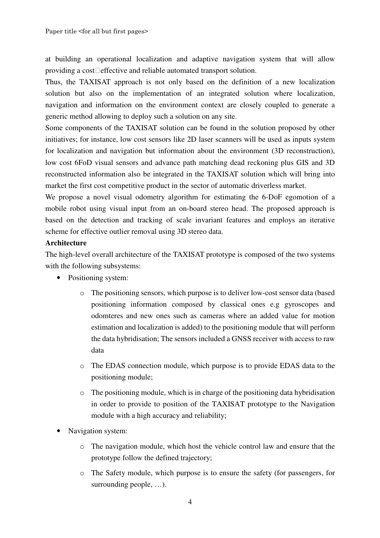at building an operational localization and adaptive navigation system that will allow providing a cost effective and reliable automated transport solution.

Thus, the TAXISAT approach is not only based on the definition of a new localization solution but also on the implementation of an integrated solution where localization, navigation and information on the environment context are closely coupled to generate a generic method allowing to deploy such a solution on any site.

Some components of the TAXISAT solution can be found in the solution proposed by other initiatives; for instance, low cost sensors like 2D laser scanners will be used as inputs system for localization and navigation but information about the environment (3D reconstruction), low cost 6FoD visual sensors and advance path matching dead reckoning plus GIS and 3D reconstructed information also be integrated in the TAXISAT solution which will bring into market the first cost competitive product in the sector of automatic driverless market.

We propose a novel visual odometry algorithm for estimating the 6-DoF egomotion of a mobile robot using visual input from an on-board stereo head. The proposed approach is based on the detection and tracking of scale invariant features and employs an iterative scheme for effective outlier removal using 3D stereo data.

#### **Architecture**

The high-level overall architecture of the TAXISAT prototype is composed of the two systems with the following subsystems:

- Positioning system:
	- o The positioning sensors, which purpose is to deliver low-cost sensor data (based positioning information composed by classical ones e.g gyroscopes and odomteres and new ones such as cameras where an added value for motion estimation and localization is added) to the positioning module that will perform the data hybridisation; The sensors included a GNSS receiver with access to raw data
	- o The EDAS connection module, which purpose is to provide EDAS data to the positioning module;
	- o The positioning module, which is in charge of the positioning data hybridisation in order to provide to position of the TAXISAT prototype to the Navigation module with a high accuracy and reliability;
- Navigation system:
	- o The navigation module, which host the vehicle control law and ensure that the prototype follow the defined trajectory;
	- o The Safety module, which purpose is to ensure the safety (for passengers, for surrounding people, …).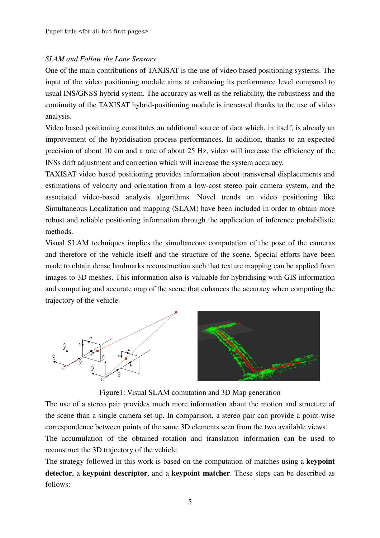#### *SLAM and Follow the Lane Sensors*

One of the main contributions of TAXISAT is the use of video based positioning systems. The input of the video positioning module aims at enhancing its performance level compared to usual INS/GNSS hybrid system. The accuracy as well as the reliability, the robustness and the continuity of the TAXISAT hybrid-positioning module is increased thanks to the use of video analysis.

Video based positioning constitutes an additional source of data which, in itself, is already an improvement of the hybridisation process performances. In addition, thanks to an expected precision of about 10 cm and a rate of about 25 Hz, video will increase the efficiency of the INSs drift adjustment and correction which will increase the system accuracy.

TAXISAT video based positioning provides information about transversal displacements and estimations of velocity and orientation from a low-cost stereo pair camera system, and the associated video-based analysis algorithms. Novel trends on video positioning like Simultaneous Localization and mapping (SLAM) have been included in order to obtain more robust and reliable positioning information through the application of inference probabilistic methods.

Visual SLAM techniques implies the simultaneous computation of the pose of the cameras and therefore of the vehicle itself and the structure of the scene. Special efforts have been made to obtain dense landmarks reconstruction such that texture mapping can be applied from images to 3D meshes. This information also is valuable for hybridising with GIS information and computing and accurate map of the scene that enhances the accuracy when computing the trajectory of the vehicle.



Figure1: Visual SLAM comutation and 3D Map generation

The use of a stereo pair provides much more information about the motion and structure of the scene than a single camera set-up. In comparison, a stereo pair can provide a point-wise correspondence between points of the same 3D elements seen from the two available views.

The accumulation of the obtained rotation and translation information can be used to reconstruct the 3D trajectory of the vehicle

The strategy followed in this work is based on the computation of matches using a **keypoint detector**, a **keypoint descriptor**, and a **keypoint matcher**. These steps can be described as follows: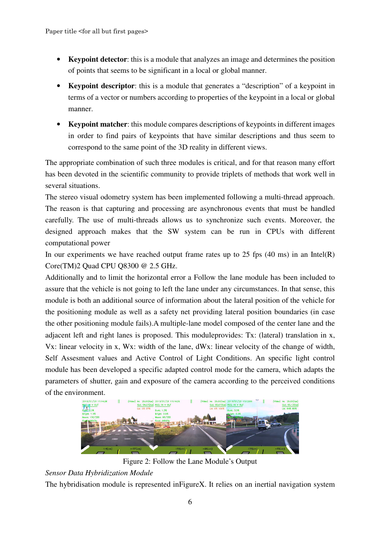- **Keypoint detector:** this is a module that analyzes an image and determines the position of points that seems to be significant in a local or global manner.
- **Keypoint descriptor**: this is a module that generates a "description" of a keypoint in terms of a vector or numbers according to properties of the keypoint in a local or global manner.
- **Keypoint matcher**: this module compares descriptions of keypoints in different images in order to find pairs of keypoints that have similar descriptions and thus seem to correspond to the same point of the 3D reality in different views.

The appropriate combination of such three modules is critical, and for that reason many effort has been devoted in the scientific community to provide triplets of methods that work well in several situations.

The stereo visual odometry system has been implemented following a multi-thread approach. The reason is that capturing and processing are asynchronous events that must be handled carefully. The use of multi-threads allows us to synchronize such events. Moreover, the designed approach makes that the SW system can be run in CPUs with different computational power

In our experiments we have reached output frame rates up to 25 fps  $(40 \text{ ms})$  in an Intel(R) Core(TM)2 Quad CPU Q8300 @ 2.5 GHz.

Additionally and to limit the horizontal error a Follow the lane module has been included to assure that the vehicle is not going to left the lane under any circumstances. In that sense, this module is both an additional source of information about the lateral position of the vehicle for the positioning module as well as a safety net providing lateral position boundaries (in case the other positioning module fails).A multiple-lane model composed of the center lane and the adjacent left and right lanes is proposed. This moduleprovides: Tx: (lateral) translation in x, Vx: linear velocity in x, Wx: width of the lane, dWx: linear velocity of the change of width, Self Assesment values and Active Control of Light Conditions. An specific light control module has been developed a specific adapted control mode for the camera, which adapts the parameters of shutter, gain and exposure of the camera according to the perceived conditions of the environment.



Figure 2: Follow the Lane Module's Output

## *Sensor Data Hybridization Module*

The hybridisation module is represented inFigureX. It relies on an inertial navigation system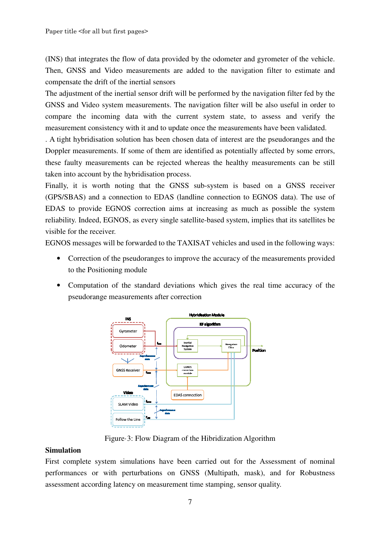(INS) that integrates the flow of data provided by the odometer and gyrometer of the vehicle. Then, GNSS and Video measurements are added to the navigation filter to estimate and compensate the drift of the inertial sensors

The adjustment of the inertial sensor drift will be performed by the navigation filter fed by the GNSS and Video system measurements. The navigation filter will be also useful in order to compare the incoming data with the current system state, to assess and verify the measurement consistency with it and to update once the measurements have been validated.

. A tight hybridisation solution has been chosen data of interest are the pseudoranges and the Doppler measurements. If some of them are identified as potentially affected by some errors, these faulty measurements can be rejected whereas the healthy measurements can be still taken into account by the hybridisation process.

Finally, it is worth noting that the GNSS sub-system is based on a GNSS receiver (GPS/SBAS) and a connection to EDAS (landline connection to EGNOS data). The use of EDAS to provide EGNOS correction aims at increasing as much as possible the system reliability. Indeed, EGNOS, as every single satellite-based system, implies that its satellites be visible for the receiver.

EGNOS messages will be forwarded to the TAXISAT vehicles and used in the following ways:

- Correction of the pseudoranges to improve the accuracy of the measurements provided to the Positioning module
- Computation of the standard deviations which gives the real time accuracy of the pseudorange measurements after correction



Figure·3: Flow Diagram of the Hibridization Algorithm

#### **Simulation**

First complete system simulations have been carried out for the Assessment of nominal performances or with perturbations on GNSS (Multipath, mask), and for Robustness assessment according latency on measurement time stamping, sensor quality.